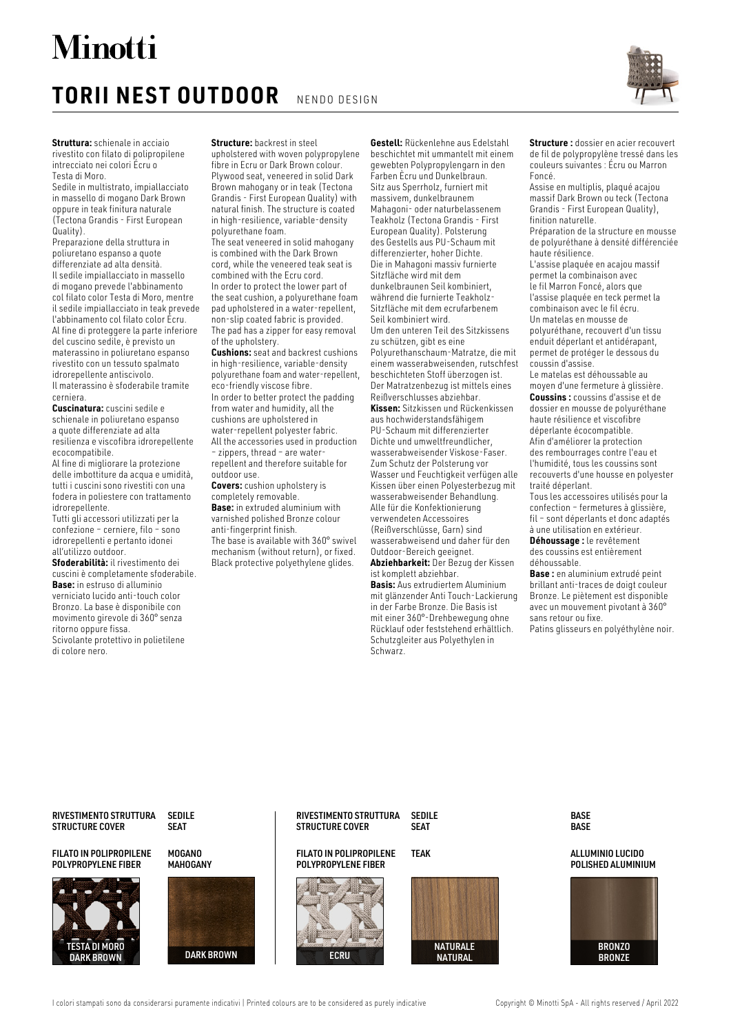# **Minotti**

## **TORII NEST OUTDOOR** NENDO DESIGN



**Struttura:** schienale in acciaio rivestito con filato di polipropilene intrecciato nei colori Écru o Testa di Moro.

Sedile in multistrato, impiallacciato in massello di mogano Dark Brown oppure in teak finitura naturale (Tectona Grandis - First European Quality).

Preparazione della struttura in poliuretano espanso a quote differenziate ad alta densità. Il sedile impiallacciato in massello di mogano prevede l'abbinamento col filato color Testa di Moro, mentre il sedile impiallacciato in teak prevede l'abbinamento col filato color Écru. Al fine di proteggere la parte inferiore del cuscino sedile, è previsto un materassino in poliuretano espanso rivestito con un tessuto spalmato idrorepellente antiscivolo. Il materassino è sfoderabile tramite cerniera.

**Cuscinatura:** cuscini sedile e schienale in poliuretano espanso a quote differenziate ad alta resilienza e viscofibra idrorepellente ecocompatibile.

Al fine di migliorare la protezione delle imbottiture da acqua e umidità, tutti i cuscini sono rivestiti con una fodera in poliestere con trattamento idrorepellente.

Tutti gli accessori utilizzati per la confezione – cerniere, filo – sono idrorepellenti e pertanto idonei all'utilizzo outdoor.

**Sfoderabilità:** il rivestimento dei cuscini è completamente sfoderabile. **Base:** in estruso di alluminio verniciato lucido anti-touch color Bronzo. La base è disponibile con movimento girevole di 360° senza ritorno oppure fissa. Scivolante protettivo in polietilene

di colore nero.

**Structure:** backrest in steel

upholstered with woven polypropylene fibre in Ecru or Dark Brown colour. Plywood seat, veneered in solid Dark Brown mahogany or in teak (Tectona Grandis - First European Quality) with natural finish. The structure is coated in high-resilience, variable-density polyurethane foam.

The seat veneered in solid mahogany is combined with the Dark Brown cord, while the veneered teak seat is combined with the Ecru cord. In order to protect the lower part of the seat cushion, a polyurethane foam pad upholstered in a water-repellent, non-slip coated fabric is provided. The pad has a zipper for easy removal of the upholstery.

**Cushions:** seat and backrest cushions in high-resilience, variable-density polyurethane foam and water-repellent, eco-friendly viscose fibre. In order to better protect the padding from water and humidity, all the cushions are upholstered in water-repellent polyester fabric. All the accessories used in production – zippers, thread – are waterrepellent and therefore suitable for outdoor use.

**Covers:** cushion upholstery is completely removable. **Base:** in extruded aluminium with varnished polished Bronze colour anti-fingerprint finish. The base is available with 360° swivel mechanism (without return), or fixed. Black protective polyethylene glides.

**Gestell:** Rückenlehne aus Edelstahl beschichtet mit ummantelt mit einem gewebten Polypropylengarn in den Farben Ècru und Dunkelbraun. Sitz aus Sperrholz, furniert mit massivem, dunkelbraunem Mahagoni- oder naturbelassenem Teakholz (Tectona Grandis - First European Quality). Polsterung des Gestells aus PU-Schaum mit differenzierter, hoher Dichte. Die in Mahagoni massiv furnierte Sitzfläche wird mit dem dunkelbraunen Seil kombiniert, während die furnierte Teakholz-Sitzfläche mit dem ecrufarbenem Seil kombiniert wird. Um den unteren Teil des Sitzkissens zu schützen, gibt es eine Polyurethanschaum-Matratze, die mit einem wasserabweisenden, rutschfest beschichteten Stoff überzogen ist. Der Matratzenbezug ist mittels eines Reißverschlusses abziehbar. **Kissen:** Sitzkissen und Rückenkissen aus hochwiderstandsfähigem PU-Schaum mit differenzierter Dichte und umweltfreundlicher, wasserabweisender Viskose-Faser. Zum Schutz der Polsterung vor Wasser und Feuchtigkeit verfügen alle Kissen über einen Polyesterbezug mit wasserabweisender Behandlung. Alle für die Konfektionierung verwendeten Accessoires (Reißverschlüsse, Garn) sind wasserabweisend und daher für den Outdoor-Bereich geeignet. **Abziehbarkeit:** Der Bezug der Kissen ist komplett abziehbar.

**Basis:** Aus extrudiertem Aluminium mit glänzender Anti Touch-Lackierung in der Farbe Bronze. Die Basis ist mit einer 360°-Drehbewegung ohne Rücklauf oder feststehend erhältlich. Schutzgleiter aus Polyethylen in Schwarz.

**Structure :** dossier en acier recouvert de fil de polypropylène tressé dans les couleurs suivantes : Écru ou Marron Foncé.

Assise en multiplis, plaqué acajou massif Dark Brown ou teck (Tectona Grandis - First European Quality), finition naturelle.

Préparation de la structure en mousse de polyuréthane à densité différenciée haute résilience.

L'assise plaquée en acajou massif permet la combinaison avec le fil Marron Foncé, alors que l'assise plaquée en teck permet la combinaison avec le fil écru. Un matelas en mousse de polyuréthane, recouvert d'un tissu enduit déperlant et antidérapant,

permet de protéger le dessous du coussin d'assise. Le matelas est déhoussable au moyen d'une fermeture à glissière.

**Coussins :** coussins d'assise et de dossier en mousse de polyuréthane haute résilience et viscofibre déperlante écocompatible. Afin d'améliorer la protection des rembourrages contre l'eau et l'humidité, tous les coussins sont recouverts d'une housse en polyester traité déperlant.

Tous les accessoires utilisés pour la confection – fermetures à glissière, fil – sont déperlants et donc adaptés à une utilisation en extérieur.

**Déhoussage :** le revêtement des coussins est entièrement déhoussable.

**Base :** en aluminium extrudé peint brillant anti-traces de doigt couleur Bronze. Le piètement est disponible avec un mouvement pivotant à 360° sans retour ou fixe.

Patins glisseurs en polyéthylène noir.